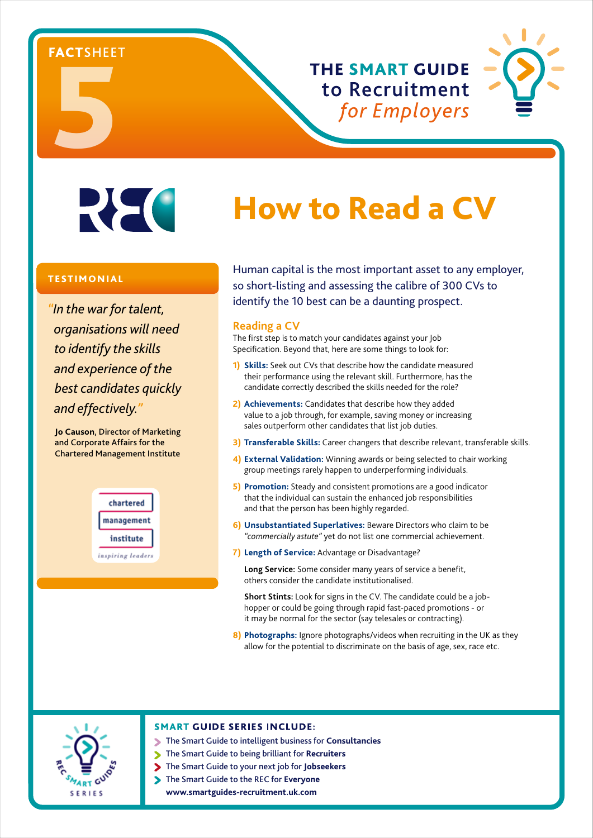# ENCISHEE

**THE SMART GUIDE** to Recruitment for Employers



## **REC**

#### TESTIMONIAL

*"In the war for talent, organisations will need to identify the skills and experience of the best candidates quickly and effectively."*

**Jo Causon**, Director of Marketing and Corporate Affairs for the Chartered Management Institute



### How to Read a CV

Human capital is the most important asset to any employer, so short-listing and assessing the calibre of 300 CVs to identify the 10 best can be a daunting prospect.

#### **Reading a CV**

The first step is to match your candidates against your Job Specification. Beyond that, here are some things to look for:

- **1) Skills:** Seek out CVs that describe how the candidate measured their performance using the relevant skill. Furthermore, has the candidate correctly described the skills needed for the role?
- **2) Achievements:** Candidates that describe how they added value to a job through, for example, saving money or increasing sales outperform other candidates that list job duties.
- **3) Transferable Skills:** Career changers that describe relevant, transferable skills.
- **4) External Validation:** Winning awards or being selected to chair working group meetings rarely happen to underperforming individuals.
- **5) Promotion:** Steady and consistent promotions are a good indicator that the individual can sustain the enhanced job responsibilities and that the person has been highly regarded.
- **6) Unsubstantiated Superlatives:** Beware Directors who claim to be *"commercially astute"* yet do not list one commercial achievement.
- **7) Length of Service:** Advantage or Disadvantage?

 **Long Service:** Some consider many years of service a benefit, others consider the candidate institutionalised.

 **Short Stints:** Look for signs in the CV. The candidate could be a jobhopper or could be going through rapid fast-paced promotions - or it may be normal for the sector (say telesales or contracting).

**8) Photographs:** Ignore photographs/videos when recruiting in the UK as they allow for the potential to discriminate on the basis of age, sex, race etc.



#### **SMART GUIDE SERIES INCLUDE:**

- The Smart Guide to intelligent business for **Consultancies**
	- The Smart Guide to being brilliant for **Recruiters**
- The Smart Guide to your next job for **Jobseekers**
- The Smart Guide to the REC for **Everyone www.smartguides-recruitment.uk.com**